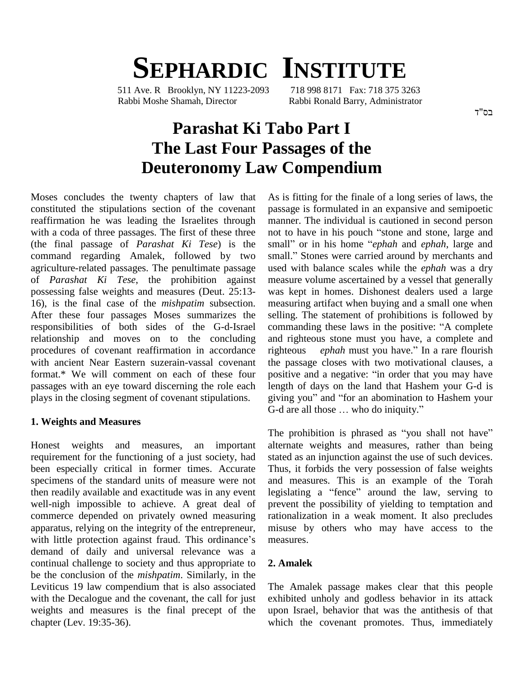# **SEPHARDIC INSTITUTE**

511 Ave. R Brooklyn, NY 11223-2093 718 998 8171 Fax: 718 375 3263 Rabbi Moshe Shamah, Director Rabbi Ronald Barry, Administrator

# **Parashat Ki Tabo Part I The Last Four Passages of the Deuteronomy Law Compendium**

Moses concludes the twenty chapters of law that constituted the stipulations section of the covenant reaffirmation he was leading the Israelites through with a coda of three passages. The first of these three not to have in his pouch "stone and stone, large and (the final passage of *Parashat Ki Tese*) is the command regarding Amalek, followed by two small." Stones were carried around by merchants and agriculture-related passages. The penultimate passage of *Parashat Ki Tese*, the prohibition against possessing false weights and measures (Deut. 25:13- 16), is the final case of the *mishpatim* subsection. After these four passages Moses summarizes the responsibilities of both sides of the G-d-Israel relationship and moves on to the concluding procedures of covenant reaffirmation in accordance with ancient Near Eastern suzerain-vassal covenant format.\* We will comment on each of these four passages with an eye toward discerning the role each plays in the closing segment of covenant stipulations. giving you" and "for an abomination to Hashem your

# **1. Weights and Measures**

Honest weights and measures, an important requirement for the functioning of a just society, had been especially critical in former times. Accurate specimens of the standard units of measure were not then readily available and exactitude was in any event well-nigh impossible to achieve. A great deal of commerce depended on privately owned measuring apparatus, relying on the integrity of the entrepreneur, commerce depended on privately owned measuring ratio apparatus, relying on the integrity of the entrepreneur, mist<br>with little protection against fraud. This ordinance's mea demand of daily and universal relevance was a continual challenge to society and thus appropriate to be the conclusion of the *mishpatim*. Similarly, in the Leviticus 19 law compendium that is also associated with the Decalogue and the covenant, the call for just weights and measures is the final precept of the chapter (Lev. 19:35-36).

As is fitting for the finale of a long series of laws, the passage is formulated in an expansive and semipoetic<br>manner. The individual is cautioned in second person<br>not to have in his pouch "stone and stone, large and manner. The individual is cautioned in second person manner. The individual is cautioned in second person<br>not to have in his pouch "stone and stone, large and<br>small" or in his home "*ephah* and *ephah*, large and not to have in his pouch "stone and stone, large and small" or in his home "*ephah* and *ephah*, large and small." Stones were carried around by merchants and used with balance scales while the *ephah* was a dry measure volume ascertained by a vessel that generally was kept in homes. Dishonest dealers used a large measuring artifact when buying and a small one when selling. The statement of prohibitions is followed by commanding these laws in the positive: "A complete selling. The statement of prohibitions is followed by and righteous stone must you have, a complete and commanding these laws in the positive: "A complete<br>and righteous stone must you have, a complete and<br>righteous *ephah* must you have." In a rare flourish the passage closes with two motivational clauses, a righteous *ephah* must you have." In a rare flourish<br>the passage closes with two motivational clauses, a<br>positive and a negative: "in order that you may have length of days on the land that Hashem your G-d is<br>giving you" and "for an abomination to Hashem your<br>G-d are all those ... who do iniquity." positive and a negative: "in order that you may have<br>length of days on the land that Hashem your G-d is<br>giving you" and "for an abomination to Hashem your

G-d are all those ... who do iniquity."<br>The prohibition is phrased as "you shall not have" alternate weights and measures, rather than being stated as an injunction against the use of such devices. Thus, it forbids the very possession of false weights and measures. This is an example of the Torah legislating a "fence" around the law, serving to prevent the possibility of yielding to temptation and rationalization in a weak moment. It also precludes misuse by others who may have access to the measures.

#### **2. Amalek**

The Amalek passage makes clear that this people exhibited unholy and godless behavior in its attack upon Israel, behavior that was the antithesis of that which the covenant promotes. Thus, immediately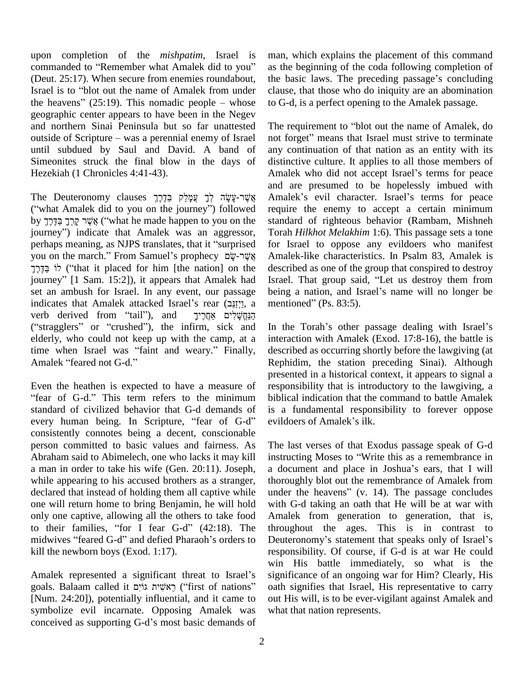upon completion of the *mishpatim*, Israel is commanded to "Remember what Amalek did to you" (Deut. 25:17). When secure from enemies roundabout, commanded to "Remember what Amalek did to you" as the (Deut. 25:17). When secure from enemies roundabout, the 1<br>Israel is to "blot out the name of Amalek from under claus (Deut. 25:17). When secure from enemies roundabout, the b<br>Israel is to "blot out the name of Amalek from under claus<br>the heavens" (25:19). This nomadic people – whose to Ggeographic center appears to have been in the Negev<br>and northern Sinai Peninsula but so far unattested The re<br>outside of Scripture – was a perennial enemy of Israel not fo and northern Sinai Peninsula but so far unattested until subdued by Saul and David. A band of Simeonites struck the final blow in the days of Hezekiah (1 Chronicles 4:41-43). Hezekiah (1 Chronicles 4:41-43).<br>and<br>אֲשֶׁר-עָשָׂה לְךָ עֲמָלֵק בַּדֶּרֶךְ Ene Deuteronomy clauses

and a<br>Amale אֲשֶׁר-עָשָׂה לְךָ עֲמָלֵק בַּדֶרֶךְ clauses אֲשֶׁר-עָשָׂה לְךָ עֲמָלֵק בַּדֶרֶךְ<br>bllowed requirey'') followed require (''what Amalek did to you on the journey'' Fhe Deuteronomy clauses אֲשֶׁר-עָשָׂה לְךָ עֲמָלֵק בַּדֶרֶךְ<br>"what Amalek did to you on the journey") followed requi<br>by אֲשֶׁר קָרְךָ בַּדֶּרֶךְ (''what he made happen to you on the stand ("what Amalek did to you on the journey") followed<br>by אֲשֶׁר קֲרֶךְ בַּדֶּרֶךְ ("what he made happen to you on the<br>journey") indicate that Amalek was an aggressor, by אֲשֶׁר קֲרְךָ בַּדֶּרֶךְ ("what he made happen to you on the standa journey") indicate that Amalek was an aggressor, Torah perhaps meaning, as NJPS translates, that it "surprised for Is journey") indicate that Amalek was an aggressor, To<br>perhaps meaning, as NJPS translates, that it "surprised for<br>you on the march." From Samuel's prophecy אֲשֶׁר-שֶׂם An ps meaning, as NJPS translates, that it "surprised for I<br>in the march." From Samuel's prophecy אֲשֶׁר-שֶׂם Amal<br>it placed for him [the nation] on the descr you on the march." From Samuel's prophecy אֲשֶׁר-שָׂם Amale<br>(that it placed for him [the nation] on the descriptiourney" [1 Sam. 15:2]), it appears that Amalek had Israel. set an ambush for Israel. In any event, our passage being a nation, and Israel's name will no longer be iourney" [1 Sam. 15:2]), it appears that Amalek had Israel<br>set an ambush for Israel. In any event, our passage being<br>indicates that Amalek attacked Israel's rear (יַזְנֵּב), a ment verb an ambush for Israel. In any event, our passage beindicates that Amalek attacked Israel's rear (אֲיָזָנֵב), a meth derived from "tail"), and אֲחֲרָיךָ indicates that Amalek attacked Israel's rear יְיָזַבָּב), a mention<br>verb derived from "tail"), and הַנֵּחֲשָׂלִים אַחֲרֶיךָ<br>("stragglers" or "crushed"), the infirm, sick and In the elderly, who could not keep up with the camp, at a ("stragglers" or "crushed"), the infirm, sick and Inelderly, who could not keep up with the camp, at a intime when Israel was "faint and weary." Finally, do elderly, who could not keep up<br>time when Israel was "faint an<br>Amalek "feared not G-d."

presented in<br>Even the heathen is expected to have a measure of interponsibility<br>"fear of G-d." This term refers to the minimum biblical ind standard of civilized behavior that G-d demands of "fear of G-d." This term refers to the minimum biblical indication that the standard of civilized behavior that G-d demands of is a fundamental respon every human being. In Scripture, "fear of G-d" evildoers of Amalek's il consistently connotes being a decent, conscionable person committed to basic values and fairness. As Abraham said to Abimelech, one who lacks it may kill a man in order to take his wife (Gen. 20:11). Joseph, a document and place in Joshua's ears, that I will while appearing to his accused brothers as a stranger, declared that instead of holding them all captive while one will return home to bring Benjamin, he will hold with Conly one captive, allowing all the others to take food Amale<br>to their families, "for I fear G-d" (42:18). The throug only one captive, allowing all the others to take food to their families, "for I fear G-d" (42:18). The throughout the ages. This is in contrast to midwives "feared G-d" and defied Pharaoh's orders to Deuteronomy's statement that speaks only of Israel's kill the newborn boys (Exod. 1:17).

Amalek represented a significant threat to Israel's goals. Balaam called it רֵאשִׁית גּוֹיִם ("first of nations") [Num. 24:20]), potentially influential, and it came to out Hi symbolize evil incarnate. Opposing Amalek was what t conceived as supporting G-d's most basic demands of symbolize evil incarnate. Opposing Amalek was

man, which explains the placement of this command as the beginning of the coda following completion of man, which explains the placement of this command<br>as the beginning of the coda following completion of<br>the basic laws. The preceding passage's concluding clause, that those who do iniquity are an abomination to G-d, is a perfect opening to the Amalek passage. to G-d, is a perfect opening to the Amalek passage.<br>The requirement to "blot out the name of Amalek, do

The requirement to "blot out the name of Amalek, do<br>not forget" means that Israel must strive to terminate any continuation of that nation as an entity with its distinctive culture. It applies to all those members of Amalek who did not accept Israel's terms for peace and are presumed to be hopelessly imbued with Amalek who did not accept Israel's terms for peace<br>and are presumed to be hopelessly imbued with<br>Amalek's evil character. Israel's terms for peace require the enemy to accept a certain minimum standard of righteous behavior (Rambam, Mishneh Torah *Hilkhot Melakhim* 1:6). This passage sets a tone for Israel to oppose any evildoers who manifest Amalek-like characteristics. In Psalm 83, Amalek is described as one of the group that conspired to destroy Amalek-like characteristics. In Psalm 83, Amalek is<br>described as one of the group that conspired to destroy<br>Israel. That group said, "Let us destroy them from described as one of the group that conspired to destroy<br>Israel. That group said, "Let us destroy them from<br>being a nation, and Israel's name will no longer be Israel. That group said, "<br>being a nation, and Israel<br>mentioned" (Ps. 83:5). mentioned" (Ps. 83:5).<br>In the Torah's other passage dealing with Israel's

interaction with Amalek (Exod. 17:8-16), the battle is described as occurring shortly before the lawgiving (at Rephidim, the station preceding Sinai). Although presented in a historical context, it appears to signal a responsibility that is introductory to the lawgiving, a biblical indication that the command to battle Amalek is a fundamental responsibility to forever oppose biblical indication that the con<br>is a fundamental responsibil<br>evildoers of Amalek's ilk.

The last verses of that Exodus passage speak of G-d The last verses of that Exodus passage speak of G-d<br>instructing Moses to "Write this as a remembrance in The last verses of that Exodus passage speak of G-d<br>instructing Moses to "Write this as a remembrance in<br>a document and place in Joshua's ears, that I will thoroughly blot out the remembrance of Amalek from under the heavens"  $(v. 14)$ . The passage concludes with G-d taking an oath that He will be at war with Amalek from generation to generation, that is, throughout the ages. This is in contrast to Deuteronomy's statement that speaks only of Israel's throughout the ages. This is in contrast to responsibility. Of course, if G-d is at war He could win His battle immediately, so what is the significance of an ongoing war for Him? Clearly, His oath signifies that Israel, His representative to carry out His will, is to be ever-vigilant against Amalek and what that nation represents.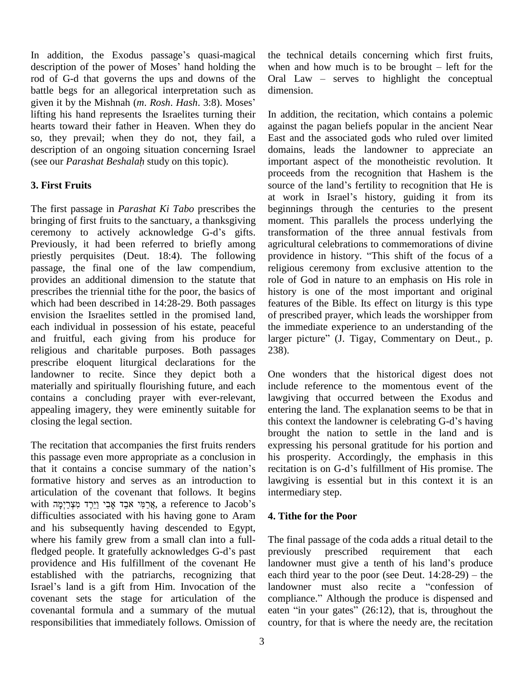In addition, the Exodus passage's quasi-magical description of the power of Moses' hand holding the when and how much is to be brought  $-$  left for the rod of G-d that governs the ups and downs of the battle begs for an allegorical interpretation such as rod of G-d that governs the ups and downs of the Ora<br>battle begs for an allegorical interpretation such as din<br>given it by the Mishnah (*m. Rosh. Hash.* 3:8). Moses<sup>7</sup> lifting his hand represents the Israelites turning their hearts toward their father in Heaven. When they do so, they prevail; when they do not, they fail, a East description of an ongoing situation concerning Israel doma<br>(see our *Parashat Beshalah* study on this topic). impo description of an ongoing situation concerning Israel

# **3. First Fruits**

The first passage in *Parashat Ki Tabo* prescribes the begin bringing of first fruits to the sanctuary, a thanksgiving mom ceremony to actively acknowledge G-d's gifts. trans bringing of first fruits to the sanctuary, a thanksgiving Previously, it had been referred to briefly among priestly perquisites (Deut. 18:4). The following passage, the final one of the law compendium, provides an additional dimension to the statute that prescribes the triennial tithe for the poor, the basics of which had been described in 14:28-29. Both passages envision the Israelites settled in the promised land, each individual in possession of his estate, peaceful and fruitful, each giving from his produce for religious and charitable purposes. Both passages prescribe eloquent liturgical declarations for the landowner to recite. Since they depict both a materially and spiritually flourishing future, and each contains a concluding prayer with ever-relevant, appealing imagery, they were eminently suitable for closing the legal section.

The recitation that accompanies the first fruits renders this passage even more appropriate as a conclusion in that it contains a concise summary of the nation's recitation is on G-d's fulfillment of His promise. The formative history and serves as an introduction to articulation of the covenant that follows. It begins with אֲרָמִּי אִבָּד אָבִי וַיֵּרֶד מִצְרַיִמָּה, a reference to Jacob's difficulties associated with his having gone to Aram and his subsequently having descended to Egypt,<br>where his family grew from a small clan into a full-<br>fledged people. It gratefully acknowledges G-d's past where his family grew from a small clan into a fullprovidence and His fulfillment of the covenant He lands<br>established with the patriarchs, recognizing that each<br>Israel's land is a gift from Him. Invocation of the lands established with the patriarchs, recognizing that each third year to the poor (see Deut.  $14:28-29$ ) – the covenant sets the stage for articulation of the compliance." Although the produce is dispensed and covenantal formula and a summary of the mutual responsibilities that immediately follows. Omission of

the technical details concerning which first fruits, the technical details concerning which first fruits,<br>when and how much is to be brought – left for the Oral Law – serves to highlight the conceptual dimension.

In addition, the recitation, which contains a polemic against the pagan beliefs popular in the ancient Near East and the associated gods who ruled over limited domains, leads the landowner to appreciate an important aspect of the monotheistic revolution. It proceeds from the recognition that Hashem is the source of the land's fertility to recognition that He is proceeds from the recognition that Hashem is the source of the land's fertility to recognition that He is at work in Israel's history, guiding it from its beginnings through the centuries to the present moment. This parallels the process underlying the transformation of the three annual festivals from agricultural celebrations to commemorations of divine providence in history. "This shift of the focus of a religious ceremony from exclusive attention to the role of God in nature to an emphasis on His role in history is one of the most important and original features of the Bible. Its effect on liturgy is this type of prescribed prayer, which leads the worshipper from the immediate experience to an understanding of the larger picture" (J. Tigay, Commentary on Deut., p. 238).

One wonders that the historical digest does not include reference to the momentous event of the lawgiving that occurred between the Exodus and entering the land. The explanation seems to be that in lawgiving that occurred between the Exodus and<br>entering the land. The explanation seems to be that in<br>this context the landowner is celebrating G-d's having brought the nation to settle in the land and is expressing his personal gratitude for his portion and<br>his prosperity. Accordingly, the emphasis in this<br>recitation is on G-d's fulfillment of His promise. The his prosperity. Accordingly, the emphasis in this lawgiving is essential but in this context it is an intermediary step.

# **4. Tithe for the Poor**

The final passage of the coda adds a ritual detail to the previously prescribed requirement that each The final passage of the coda adds a ritual detail to the<br>previously prescribed requirement that each<br>landowner must give a tenth of his land's produce previously prescribed requirement that each<br>landowner must give a tenth of his land's produce<br>each third year to the poor (see Deut. 14:28-29) – the landowner must give a tenth of his land's produce<br>each third year to the poor (see Deut.  $14:28-29$ ) – the<br>landowner must also recite a "confession of each third year to the poor (see Deut. 14:28-29) – the<br>landowner must also recite a "confession of<br>compliance." Although the produce is dispensed and eaten "in your gates"  $(26:12)$ , that is, throughout the country, for that is where the needy are, the recitation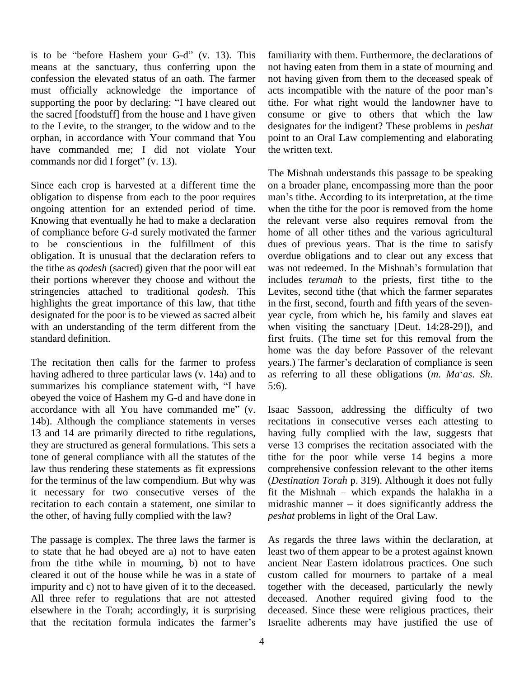is to be "before Hashem your  $G-d$ " (v. 13). This means at the sanctuary, thus conferring upon the confession the elevated status of an oath. The farmer must officially acknowledge the importance of acts incompatible with the nature of the poor man's supporting the poor by declaring: "I have cleared out the sacred [foodstuff] from the house and I have given to the Levite, to the stranger, to the widow and to the orphan, in accordance with Your command that You point have commanded me; I did not violate Your the wr commands nor did I forget" (v. 13). have commanded me; I did not violate Your

Since each crop is harvested at a different time the obligation to dispense from each to the poor requires ongoing attention for an extended period of time. Knowing that eventually he had to make a declaration of compliance before G-d surely motivated the farmer to be conscientious in the fulfillment of this obligation. It is unusual that the declaration refers to the tithe as *qodesh* (sacred) given that the poor will eat their portions wherever they choose and without the stringencies attached to traditional *qodesh*. This highlights the great importance of this law, that tithe designated for the poor is to be viewed as sacred albeit with an understanding of the term different from the standard definition.

The recitation then calls for the farmer to profess years<br>having adhered to three particular laws (v. 14a) and to as re<br>summarizes his compliance statement with, "I have 5:6). having adhered to three particular laws (v. 14a) and to as referring to all these obligations (*m. Ma'as. Sh.* obeyed the voice of Hashem my G-d and have done in summarizes his compliance statement with, "I have obeyed the voice of Hashem my G-d and have done in accordance with all You have commanded me" (v. 14b). Although the compliance statements in verses 13 and 14 are primarily directed to tithe regulations, they are structured as general formulations. This sets a tone of general compliance with all the statutes of the law thus rendering these statements as fit expressions for the terminus of the law compendium. But why was it necessary for two consecutive verses of the recitation to each contain a statement, one similar to the other, of having fully complied with the law?

The passage is complex. The three laws the farmer is to state that he had obeyed are a) not to have eaten from the tithe while in mourning, b) not to have cleared it out of the house while he was in a state of impurity and c) not to have given of it to the deceased. All three refer to regulations that are not attested deceaselsewhere in the Torah; accordingly, it is surprising deceasel<br>that the recitation formula indicates the farmer's Israeli elsewhere in the Torah; accordingly, it is surprising

familiarity with them. Furthermore, the declarations of not having eaten from them in a state of mourning and<br>not having given from them to the deceased speak of<br>acts incompatible with the nature of the poor man's not having given from them to the deceased speak of tithe. For what right would the landowner have to consume or give to others that which the law designates for the indigent? These problems in *peshat* point to an Oral Law complementing and elaborating the written text.

The Mishnah understands this passage to be speaking on a broader plane, encompassing more than the poor man's tithe. According to its interpretation, at the time when the tithe for the poor is removed from the home the relevant verse also requires removal from the home of all other tithes and the various agricultural dues of previous years. That is the time to satisfy<br>overdue obligations and to clear out any excess that<br>was not redeemed. In the Mishnah's formulation that overdue obligations and to clear out any excess that includes *terumah* to the priests, first tithe to the Levites, second tithe (that which the farmer separates in the first, second, fourth and fifth years of the seven year cycle, from which he, his family and slaves eat when visiting the sanctuary [Deut. 14:28-29]), and first fruits. (The time set for this removal from the home was the day before Passover of the relevant first fruits. (The time set for this removal from the home was the day before Passover of the relevant years.) The farmer's declaration of compliance is seen home was the day before Passover of the relevant years.) The farmer's declaration of compliance is seen as referring to all these obligations (*m. Ma*<sup>\*</sup>*as. Sh.* 5:6).

Isaac Sassoon, addressing the difficulty of two recitations in consecutive verses each attesting to having fully complied with the law, suggests that verse 13 comprises the recitation associated with the tithe for the poor while verse 14 begins a more comprehensive confession relevant to the other items (*Destination Torah* p. 319). Although it does not fully fit the Mishnah  $-$  which expands the halakha in a midrashic manner  $-$  it does significantly address the *peshat* problems in light of the Oral Law.

As regards the three laws within the declaration, at least two of them appear to be a protest against known ancient Near Eastern idolatrous practices. One such custom called for mourners to partake of a meal together with the deceased, particularly the newly deceased. Another required giving food to the deceased. Since these were religious practices, their Israelite adherents may have justified the use of